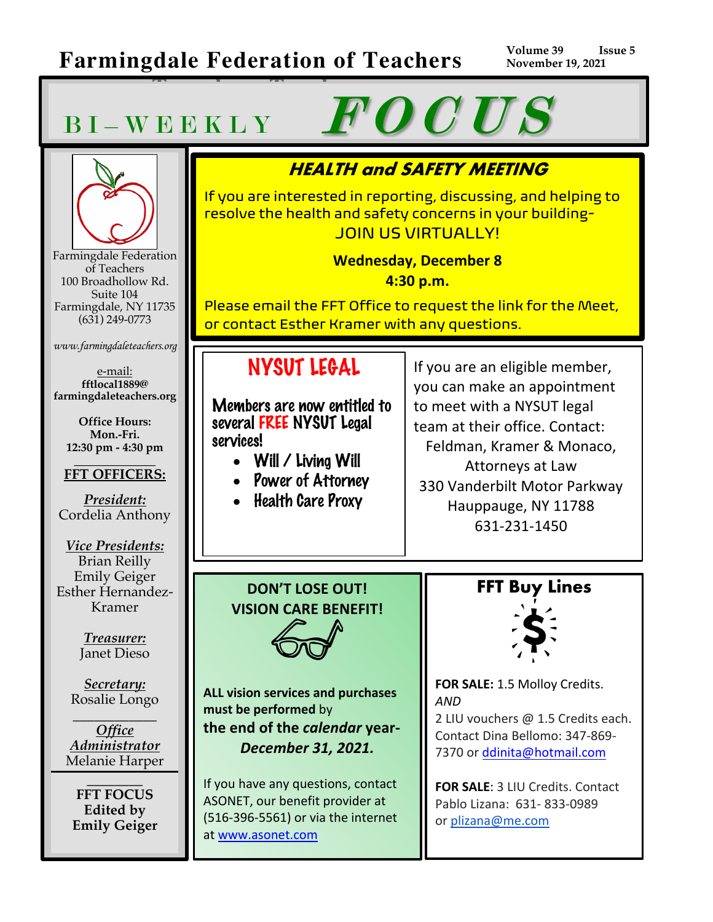**Teaschers Teachers**

# BI-WEEKLY FOCUS



Farmingdale Federation of Teachers 100 Broadhollow Rd. Suite 104 Farmingdale, NY 11735 (631) 249-0773

*www.farmingdaleteachers.org*

e-mail: **fftlocal1889@ farmingdaleteachers.org**

**Office Hours: Mon.-Fri. 12:30 pm - 4:30 pm**

#### **\_\_\_\_\_\_\_\_\_\_\_\_\_\_ FFT OFFICERS:**

*President:* Cordelia Anthony

*Vice Presidents:* Brian Reilly Emily Geiger Esther Hernandez-Kramer

> *Treasurer:* Janet Dieso

*Secretary:* Rosalie Longo

\_\_\_\_\_\_\_\_\_\_\_\_ *Office Administrator* Melanie Harper

 $\overline{\phantom{a}}$  , where  $\overline{\phantom{a}}$ **FFT FOCUS Edited by Emily Geiger**

## **HEALTH and SAFETY MEETING**

If you are interested in reporting, discussing, and helping to resolve the health and safety concerns in your building-JOIN US VIRTUALLY!

> **Wednesday, December 8 4:30 p.m.**

Please email the FFT Office to request the link for the Meet, or contact Esther Kramer with any questions.

## NYSUT LEGAL

Members are now entitled to several FREE NYSUT Legal services!

- Will / Living Will
- Power of Attorney
- Health Care Proxy

If you are an eligible member, you can make an appointment to meet with a NYSUT legal team at their office. Contact: Feldman, Kramer & Monaco,

Attorneys at Law 330 Vanderbilt Motor Parkway Hauppauge, NY 11788 631-231-1450

**DON'T LOSE OUT! VISION CARE BENEFIT!**

**ALL vision services and purchases must be performed** by **the end of the** *calendar* **year-***December 31, 2021.*

If you have any questions, contact ASONET, our benefit provider at (516-396-5561) or via the internet at www.asonet.com





**FOR SALE:** 1.5 Molloy Credits. *AND* 

2 LIU vouchers @ 1.5 Credits each. Contact Dina Bellomo: 347-869- 7370 or ddinita@hotmail.com

**FOR SALE**: 3 LIU Credits. Contact Pablo Lizana: 631- 833-0989 or plizana@me.com